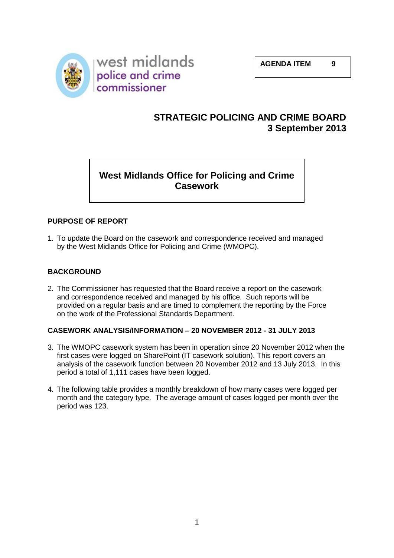

## **STRATEGIC POLICING AND CRIME BOARD 3 September 2013**

# **West Midlands Office for Policing and Crime Casework**

## **PURPOSE OF REPORT**

1. To update the Board on the casework and correspondence received and managed by the West Midlands Office for Policing and Crime (WMOPC).

### **BACKGROUND**

2. The Commissioner has requested that the Board receive a report on the casework and correspondence received and managed by his office. Such reports will be provided on a regular basis and are timed to complement the reporting by the Force on the work of the Professional Standards Department.

### **CASEWORK ANALYSIS/INFORMATION – 20 NOVEMBER 2012 - 31 JULY 2013**

- 3. The WMOPC casework system has been in operation since 20 November 2012 when the first cases were logged on SharePoint (IT casework solution). This report covers an analysis of the casework function between 20 November 2012 and 13 July 2013. In this period a total of 1,111 cases have been logged.
- 4. The following table provides a monthly breakdown of how many cases were logged per month and the category type. The average amount of cases logged per month over the period was 123.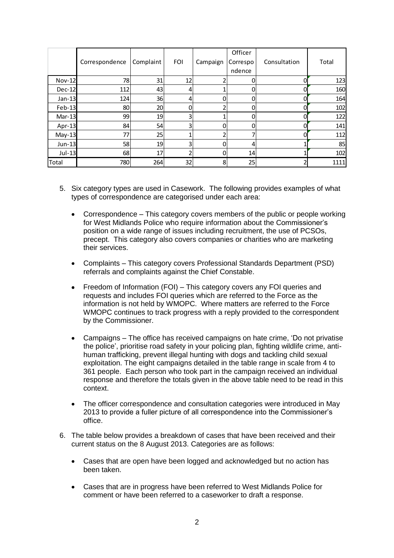|               | Correspondence | Complaint | <b>FOI</b>     | Campaign | Officer<br>Correspo | Consultation | Total |
|---------------|----------------|-----------|----------------|----------|---------------------|--------------|-------|
|               |                |           |                |          | ndence              |              |       |
| $Nov-12$      | 78             | 31        | 12             |          |                     |              | 123   |
| <b>Dec-12</b> | 112            | 43        | $\overline{4}$ |          |                     |              | 160   |
| $Jan-13$      | 124            | 36        | 4              | 0        | 0                   |              | 164   |
| Feb-13        | 80             | 20        | 0              |          | U                   |              | 102   |
| Mar-13        | 99             | 19        | ว              |          |                     |              | 122   |
| Apr-13        | 84             | 54        | 3              | 0        | U                   |              | 141   |
| $May-13$      | 77             | 25        |                |          |                     |              | 112   |
| Jun-13        | 58             | 19        | 3              | 0        |                     |              | 85    |
| Jul-13        | 68             | 17        |                | 0        | 14                  |              | 102   |
| Total         | 780            | 264       | 32             | 8        | 25                  |              | 1111  |

- 5. Six category types are used in Casework. The following provides examples of what types of correspondence are categorised under each area:
	- Correspondence This category covers members of the public or people working for West Midlands Police who require information about the Commissioner's position on a wide range of issues including recruitment, the use of PCSOs, precept. This category also covers companies or charities who are marketing their services.
	- Complaints This category covers Professional Standards Department (PSD) referrals and complaints against the Chief Constable.
	- Freedom of Information (FOI) This category covers any FOI queries and  $\bullet$ requests and includes FOI queries which are referred to the Force as the information is not held by WMOPC. Where matters are referred to the Force WMOPC continues to track progress with a reply provided to the correspondent by the Commissioner.
	- Campaigns The office has received campaigns on hate crime, 'Do not privatise the police', prioritise road safety in your policing plan, fighting wildlife crime, antihuman trafficking, prevent illegal hunting with dogs and tackling child sexual exploitation. The eight campaigns detailed in the table range in scale from 4 to 361 people. Each person who took part in the campaign received an individual response and therefore the totals given in the above table need to be read in this context.
	- The officer correspondence and consultation categories were introduced in May 2013 to provide a fuller picture of all correspondence into the Commissioner's office.
- 6. The table below provides a breakdown of cases that have been received and their current status on the 8 August 2013. Categories are as follows:
	- Cases that are open have been logged and acknowledged but no action has been taken.
	- Cases that are in progress have been referred to West Midlands Police for comment or have been referred to a caseworker to draft a response.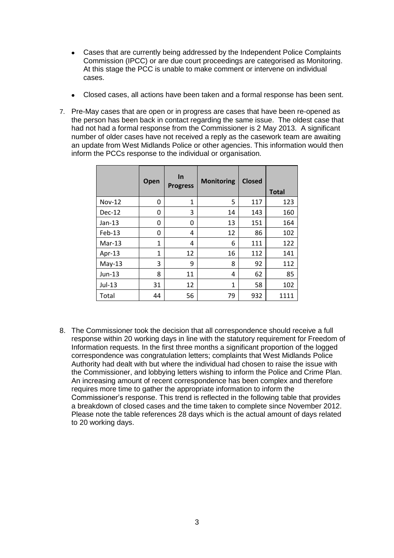- Cases that are currently being addressed by the Independent Police Complaints  $\bullet$ Commission (IPCC) or are due court proceedings are categorised as Monitoring. At this stage the PCC is unable to make comment or intervene on individual cases.
- Closed cases, all actions have been taken and a formal response has been sent.
- 7. Pre-May cases that are open or in progress are cases that have been re-opened as the person has been back in contact regarding the same issue. The oldest case that had not had a formal response from the Commissioner is 2 May 2013. A significant number of older cases have not received a reply as the casework team are awaiting an update from West Midlands Police or other agencies. This information would then inform the PCCs response to the individual or organisation.

|               | Open | $\ln$<br><b>Progress</b> | <b>Monitoring</b> | <b>Closed</b> | <b>Total</b> |  |
|---------------|------|--------------------------|-------------------|---------------|--------------|--|
| <b>Nov-12</b> | 0    | 1                        | 5                 | 117           | 123          |  |
| $Dec-12$      | 0    | 3                        | 14                | 143           | 160          |  |
| $Jan-13$      | 0    | 0                        | 13                | 151           | 164          |  |
| Feb-13        | 0    | 4                        | 12                | 86            | 102          |  |
| $Mar-13$      | 1    | 4                        | 6                 | 111           | 122          |  |
| Apr-13        | 1    | 12                       | 16                | 112           | 141          |  |
| $May-13$      | 3    | 9                        | 8                 | 92            | 112          |  |
| $Jun-13$      | 8    | 11                       | 4                 | 62            | 85           |  |
| $Jul-13$      | 31   | 12                       | 1                 | 58            | 102          |  |
| Total         | 44   | 56                       | 79                | 932           | 1111         |  |

8. The Commissioner took the decision that all correspondence should receive a full response within 20 working days in line with the statutory requirement for Freedom of Information requests. In the first three months a significant proportion of the logged correspondence was congratulation letters; complaints that West Midlands Police Authority had dealt with but where the individual had chosen to raise the issue with the Commissioner, and lobbying letters wishing to inform the Police and Crime Plan. An increasing amount of recent correspondence has been complex and therefore requires more time to gather the appropriate information to inform the Commissioner's response. This trend is reflected in the following table that provides a breakdown of closed cases and the time taken to complete since November 2012. Please note the table references 28 days which is the actual amount of days related to 20 working days.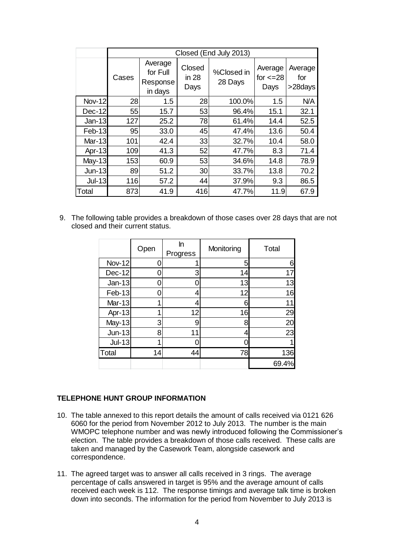|               | Closed (End July 2013) |                                            |                           |                       |                                   |                           |  |  |  |
|---------------|------------------------|--------------------------------------------|---------------------------|-----------------------|-----------------------------------|---------------------------|--|--|--|
|               | Cases                  | Average<br>for Full<br>Response<br>in days | Closed<br>in $28$<br>Days | %Closed in<br>28 Days | Average<br>for $\leq$ =28<br>Days | Average<br>for<br>>28days |  |  |  |
| <b>Nov-12</b> | 28                     | $1.5^{\circ}$                              | 28                        | 100.0%                | 1.5                               | N/A                       |  |  |  |
| $Dec-12$      | 55                     | 15.7                                       | 53                        | 96.4%                 | 15.1                              | 32.1                      |  |  |  |
| $Jan-13$      | 127                    | 25.2                                       | 78                        | 61.4%                 | 14.4                              | 52.5                      |  |  |  |
| $Feb-13$      | 95                     | 33.0                                       | 45                        | 47.4%                 | 13.6                              | 50.4                      |  |  |  |
| $Mar-13$      | 101                    | 42.4                                       | 33                        | 32.7%                 | 10.4                              | 58.0                      |  |  |  |
| Apr-13        | 109                    | 41.3                                       | 52                        | 47.7%                 | 8.3                               | 71.4                      |  |  |  |
| <b>May-13</b> | 153                    | 60.9                                       | 53                        | 34.6%                 | 14.8                              | 78.9                      |  |  |  |
| $Jun-13$      | 89                     | 51.2                                       | 30                        | 33.7%                 | 13.8                              | 70.2                      |  |  |  |
| $Jul-13$      | 116                    | 57.2                                       | 44                        | 37.9%                 | 9.3                               | 86.5                      |  |  |  |
| Total         | 873                    | 41.9                                       | 416                       | 47.7%                 | 11.9                              | 67.9                      |  |  |  |

9. The following table provides a breakdown of those cases over 28 days that are not closed and their current status.

|               | Open | In<br>Progress | Monitoring | Total |  |
|---------------|------|----------------|------------|-------|--|
| <b>Nov-12</b> |      |                | 5          | 6     |  |
| Dec-12        |      | 3              | 14         | 17    |  |
| $Jan-13$      |      |                | 13         | 13    |  |
| <b>Feb-13</b> |      | 4              | 12         | 16    |  |
| $Mar-13$      |      | 4              | 6          | 11    |  |
| Apr-13        |      | 12             | 16         | 29    |  |
| <b>May-13</b> | 3    | 9              | 8          | 20    |  |
| $Jun-13$      | 8    | 11             | 4          | 23    |  |
| $Jul-13$      |      |                |            |       |  |
| Total         | 14   | 44             | 78         | 136   |  |
|               |      |                |            | 69.4% |  |

#### **TELEPHONE HUNT GROUP INFORMATION**

- 10. The table annexed to this report details the amount of calls received via 0121 626 6060 for the period from November 2012 to July 2013. The number is the main WMOPC telephone number and was newly introduced following the Commissioner's election. The table provides a breakdown of those calls received. These calls are taken and managed by the Casework Team, alongside casework and correspondence.
- 11. The agreed target was to answer all calls received in 3 rings. The average percentage of calls answered in target is 95% and the average amount of calls received each week is 112. The response timings and average talk time is broken down into seconds. The information for the period from November to July 2013 is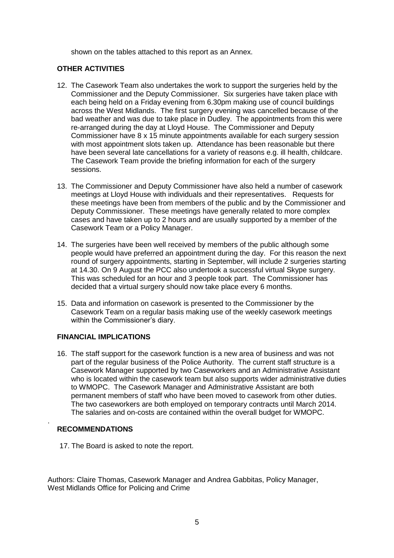shown on the tables attached to this report as an Annex.

#### **OTHER ACTIVITIES**

- 12. The Casework Team also undertakes the work to support the surgeries held by the Commissioner and the Deputy Commissioner. Six surgeries have taken place with each being held on a Friday evening from 6.30pm making use of council buildings across the West Midlands. The first surgery evening was cancelled because of the bad weather and was due to take place in Dudley. The appointments from this were re-arranged during the day at Lloyd House. The Commissioner and Deputy Commissioner have 8 x 15 minute appointments available for each surgery session with most appointment slots taken up. Attendance has been reasonable but there have been several late cancellations for a variety of reasons e.g. ill health, childcare. The Casework Team provide the briefing information for each of the surgery sessions.
- 13. The Commissioner and Deputy Commissioner have also held a number of casework meetings at Lloyd House with individuals and their representatives. Requests for these meetings have been from members of the public and by the Commissioner and Deputy Commissioner. These meetings have generally related to more complex cases and have taken up to 2 hours and are usually supported by a member of the Casework Team or a Policy Manager.
- 14. The surgeries have been well received by members of the public although some people would have preferred an appointment during the day. For this reason the next round of surgery appointments, starting in September, will include 2 surgeries starting at 14.30. On 9 August the PCC also undertook a successful virtual Skype surgery. This was scheduled for an hour and 3 people took part. The Commissioner has decided that a virtual surgery should now take place every 6 months.
- 15. Data and information on casework is presented to the Commissioner by the Casework Team on a regular basis making use of the weekly casework meetings within the Commissioner's diary.

#### **FINANCIAL IMPLICATIONS**

16. The staff support for the casework function is a new area of business and was not part of the regular business of the Police Authority. The current staff structure is a Casework Manager supported by two Caseworkers and an Administrative Assistant who is located within the casework team but also supports wider administrative duties to WMOPC. The Casework Manager and Administrative Assistant are both permanent members of staff who have been moved to casework from other duties. The two caseworkers are both employed on temporary contracts until March 2014. The salaries and on-costs are contained within the overall budget for WMOPC.

#### **RECOMMENDATIONS**

.

17. The Board is asked to note the report.

Authors: Claire Thomas, Casework Manager and Andrea Gabbitas, Policy Manager, West Midlands Office for Policing and Crime